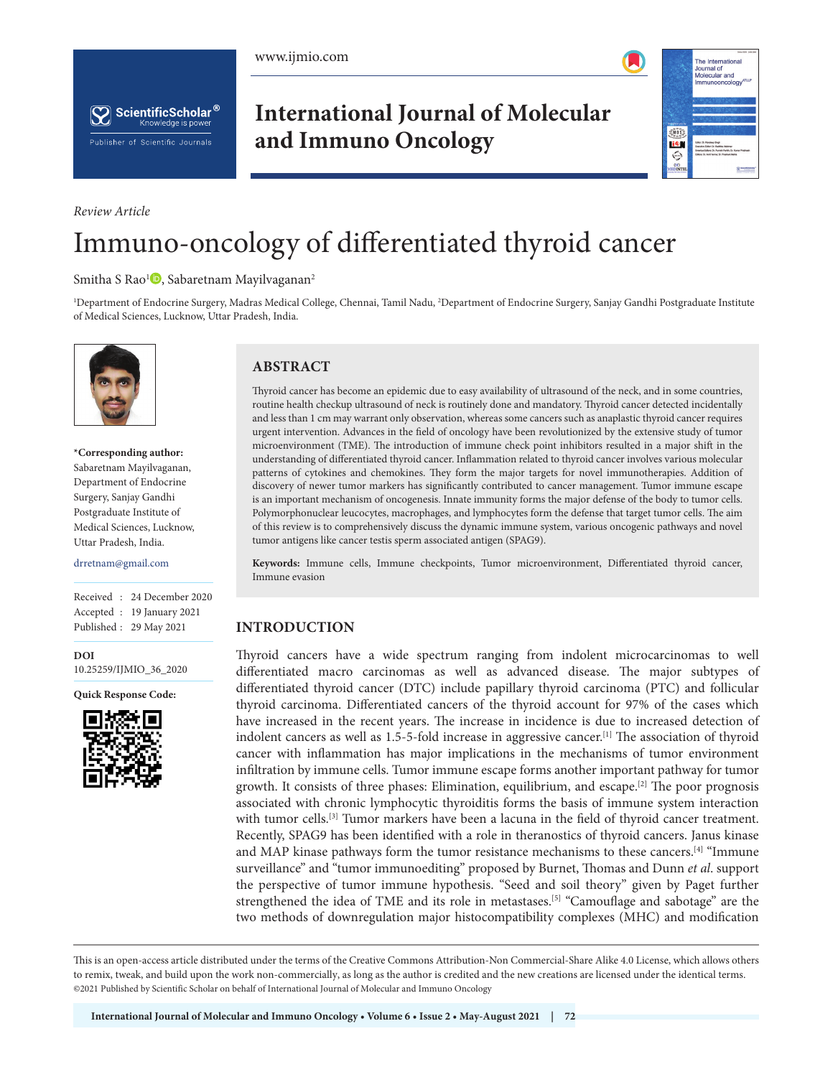





*Review Article*

# **International Journal of Molecular and Immuno Oncology**



# Immuno-oncology of differentiated thyroid cancer

#### Smitha S Rao<sup>1</sup><sup>(1</sup>[,](https://orcid.org/0000-0002-2621-394X) Sabaretnam Mayilvaganan<sup>2</sup>

1 Department of Endocrine Surgery, Madras Medical College, Chennai, Tamil Nadu, 2 Department of Endocrine Surgery, Sanjay Gandhi Postgraduate Institute of Medical Sciences, Lucknow, Uttar Pradesh, India.



**\*Corresponding author:** Sabaretnam Mayilvaganan, Department of Endocrine Surgery, Sanjay Gandhi Postgraduate Institute of Medical Sciences, Lucknow, Uttar Pradesh, India.

drretnam@gmail.com

Received : 24 December 2020 Accepted : 19 January 2021 Published : 29 May 2021

**DOI** [10.25259/IJMIO\\_36\\_2020](https://dx.doi.org/10.25259/IJMIO_36_2020)

**Quick Response Code:**



# **ABSTRACT**

Thyroid cancer has become an epidemic due to easy availability of ultrasound of the neck, and in some countries, routine health checkup ultrasound of neck is routinely done and mandatory. Thyroid cancer detected incidentally and less than 1 cm may warrant only observation, whereas some cancers such as anaplastic thyroid cancer requires urgent intervention. Advances in the field of oncology have been revolutionized by the extensive study of tumor microenvironment (TME). The introduction of immune check point inhibitors resulted in a major shift in the understanding of differentiated thyroid cancer. Inflammation related to thyroid cancer involves various molecular patterns of cytokines and chemokines. They form the major targets for novel immunotherapies. Addition of discovery of newer tumor markers has significantly contributed to cancer management. Tumor immune escape is an important mechanism of oncogenesis. Innate immunity forms the major defense of the body to tumor cells. Polymorphonuclear leucocytes, macrophages, and lymphocytes form the defense that target tumor cells. The aim of this review is to comprehensively discuss the dynamic immune system, various oncogenic pathways and novel tumor antigens like cancer testis sperm associated antigen (SPAG9).

**Keywords:** Immune cells, Immune checkpoints, Tumor microenvironment, Differentiated thyroid cancer, Immune evasion

# **INTRODUCTION**

Thyroid cancers have a wide spectrum ranging from indolent microcarcinomas to well differentiated macro carcinomas as well as advanced disease. The major subtypes of differentiated thyroid cancer (DTC) include papillary thyroid carcinoma (PTC) and follicular thyroid carcinoma. Differentiated cancers of the thyroid account for 97% of the cases which have increased in the recent years. The increase in incidence is due to increased detection of indolent cancers as well as 1.5-5-fold increase in aggressive cancer.<sup>[1]</sup> The association of thyroid cancer with inflammation has major implications in the mechanisms of tumor environment infiltration by immune cells. Tumor immune escape forms another important pathway for tumor growth. It consists of three phases: Elimination, equilibrium, and escape.<sup>[2]</sup> The poor prognosis associated with chronic lymphocytic thyroiditis forms the basis of immune system interaction with tumor cells.<sup>[3]</sup> Tumor markers have been a lacuna in the field of thyroid cancer treatment. Recently, SPAG9 has been identified with a role in theranostics of thyroid cancers. Janus kinase and MAP kinase pathways form the tumor resistance mechanisms to these cancers.[4] "Immune surveillance" and "tumor immunoediting" proposed by Burnet, Thomas and Dunn *et al*. support the perspective of tumor immune hypothesis. "Seed and soil theory" given by Paget further strengthened the idea of TME and its role in metastases.[5] "Camouflage and sabotage" are the two methods of downregulation major histocompatibility complexes (MHC) and modification

This is an open-access article distributed under the terms of the Creative Commons Attribution-Non Commercial-Share Alike 4.0 License, which allows others to remix, tweak, and build upon the work non-commercially, as long as the author is credited and the new creations are licensed under the identical terms. ©2021 Published by Scientific Scholar on behalf of International Journal of Molecular and Immuno Oncology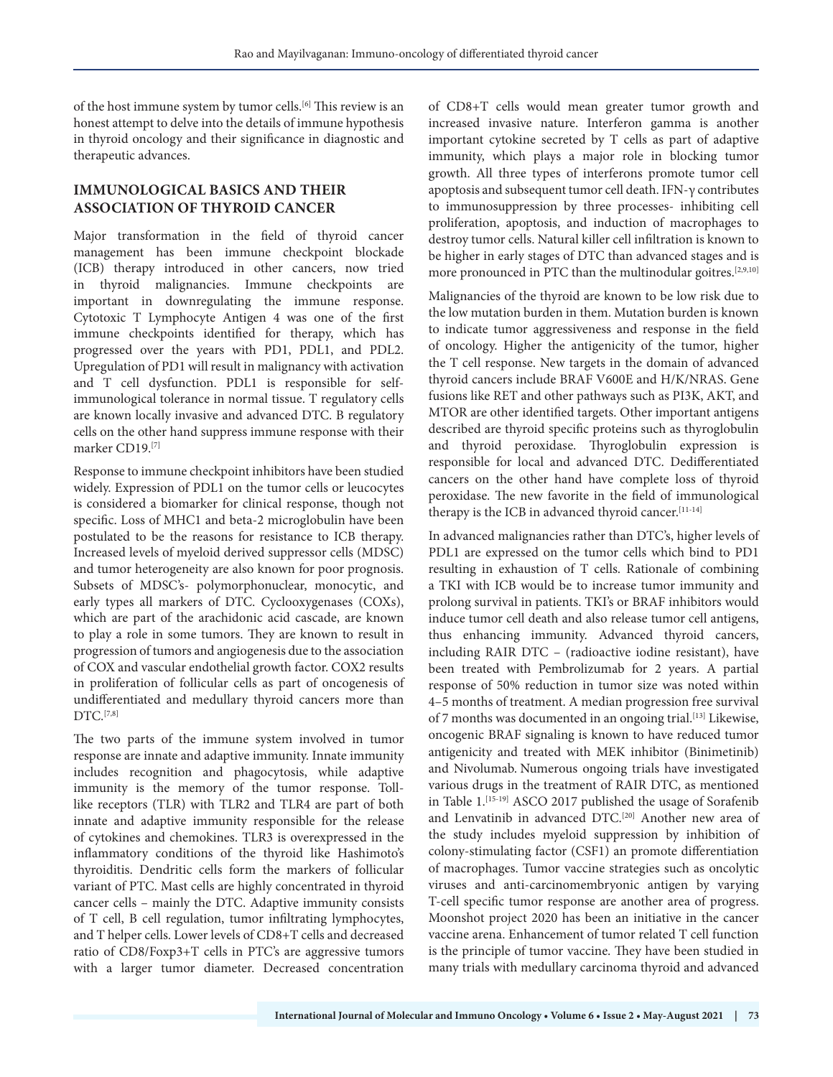of the host immune system by tumor cells.[6] This review is an honest attempt to delve into the details of immune hypothesis in thyroid oncology and their significance in diagnostic and therapeutic advances.

# **IMMUNOLOGICAL BASICS AND THEIR ASSOCIATION OF THYROID CANCER**

Major transformation in the field of thyroid cancer management has been immune checkpoint blockade (ICB) therapy introduced in other cancers, now tried in thyroid malignancies. Immune checkpoints are important in downregulating the immune response. Cytotoxic T Lymphocyte Antigen 4 was one of the first immune checkpoints identified for therapy, which has progressed over the years with PD1, PDL1, and PDL2. Upregulation of PD1 will result in malignancy with activation and T cell dysfunction. PDL1 is responsible for selfimmunological tolerance in normal tissue. T regulatory cells are known locally invasive and advanced DTC. B regulatory cells on the other hand suppress immune response with their marker CD19.[7]

Response to immune checkpoint inhibitors have been studied widely. Expression of PDL1 on the tumor cells or leucocytes is considered a biomarker for clinical response, though not specific. Loss of MHC1 and beta-2 microglobulin have been postulated to be the reasons for resistance to ICB therapy. Increased levels of myeloid derived suppressor cells (MDSC) and tumor heterogeneity are also known for poor prognosis. Subsets of MDSC's- polymorphonuclear, monocytic, and early types all markers of DTC. Cyclooxygenases (COXs), which are part of the arachidonic acid cascade, are known to play a role in some tumors. They are known to result in progression of tumors and angiogenesis due to the association of COX and vascular endothelial growth factor. COX2 results in proliferation of follicular cells as part of oncogenesis of undifferentiated and medullary thyroid cancers more than DTC.[7,8]

The two parts of the immune system involved in tumor response are innate and adaptive immunity. Innate immunity includes recognition and phagocytosis, while adaptive immunity is the memory of the tumor response. Tolllike receptors (TLR) with TLR2 and TLR4 are part of both innate and adaptive immunity responsible for the release of cytokines and chemokines. TLR3 is overexpressed in the inflammatory conditions of the thyroid like Hashimoto's thyroiditis. Dendritic cells form the markers of follicular variant of PTC. Mast cells are highly concentrated in thyroid cancer cells – mainly the DTC. Adaptive immunity consists of T cell, B cell regulation, tumor infiltrating lymphocytes, and T helper cells. Lower levels of CD8+T cells and decreased ratio of CD8/Foxp3+T cells in PTC's are aggressive tumors with a larger tumor diameter. Decreased concentration

of CD8+T cells would mean greater tumor growth and increased invasive nature. Interferon gamma is another important cytokine secreted by T cells as part of adaptive immunity, which plays a major role in blocking tumor growth. All three types of interferons promote tumor cell apoptosis and subsequent tumor cell death. IFN-γ contributes to immunosuppression by three processes- inhibiting cell proliferation, apoptosis, and induction of macrophages to destroy tumor cells. Natural killer cell infiltration is known to be higher in early stages of DTC than advanced stages and is more pronounced in PTC than the multinodular goitres.<sup>[2,9,10]</sup>

Malignancies of the thyroid are known to be low risk due to the low mutation burden in them. Mutation burden is known to indicate tumor aggressiveness and response in the field of oncology. Higher the antigenicity of the tumor, higher the T cell response. New targets in the domain of advanced thyroid cancers include BRAF V600E and H/K/NRAS. Gene fusions like RET and other pathways such as PI3K, AKT, and MTOR are other identified targets. Other important antigens described are thyroid specific proteins such as thyroglobulin and thyroid peroxidase. Thyroglobulin expression is responsible for local and advanced DTC. Dedifferentiated cancers on the other hand have complete loss of thyroid peroxidase. The new favorite in the field of immunological therapy is the ICB in advanced thyroid cancer.<sup>[11-14]</sup>

In advanced malignancies rather than DTC's, higher levels of PDL1 are expressed on the tumor cells which bind to PD1 resulting in exhaustion of T cells. Rationale of combining a TKI with ICB would be to increase tumor immunity and prolong survival in patients. TKI's or BRAF inhibitors would induce tumor cell death and also release tumor cell antigens, thus enhancing immunity. Advanced thyroid cancers, including RAIR DTC – (radioactive iodine resistant), have been treated with Pembrolizumab for 2 years. A partial response of 50% reduction in tumor size was noted within 4–5 months of treatment. A median progression free survival of 7 months was documented in an ongoing trial.<sup>[13]</sup> Likewise, oncogenic BRAF signaling is known to have reduced tumor antigenicity and treated with MEK inhibitor (Binimetinib) and Nivolumab. Numerous ongoing trials have investigated various drugs in the treatment of RAIR DTC, as mentioned in Table 1. [15-19] ASCO 2017 published the usage of Sorafenib and Lenvatinib in advanced DTC.<sup>[20]</sup> Another new area of the study includes myeloid suppression by inhibition of colony-stimulating factor (CSF1) an promote differentiation of macrophages. Tumor vaccine strategies such as oncolytic viruses and anti-carcinomembryonic antigen by varying T-cell specific tumor response are another area of progress. Moonshot project 2020 has been an initiative in the cancer vaccine arena. Enhancement of tumor related T cell function is the principle of tumor vaccine. They have been studied in many trials with medullary carcinoma thyroid and advanced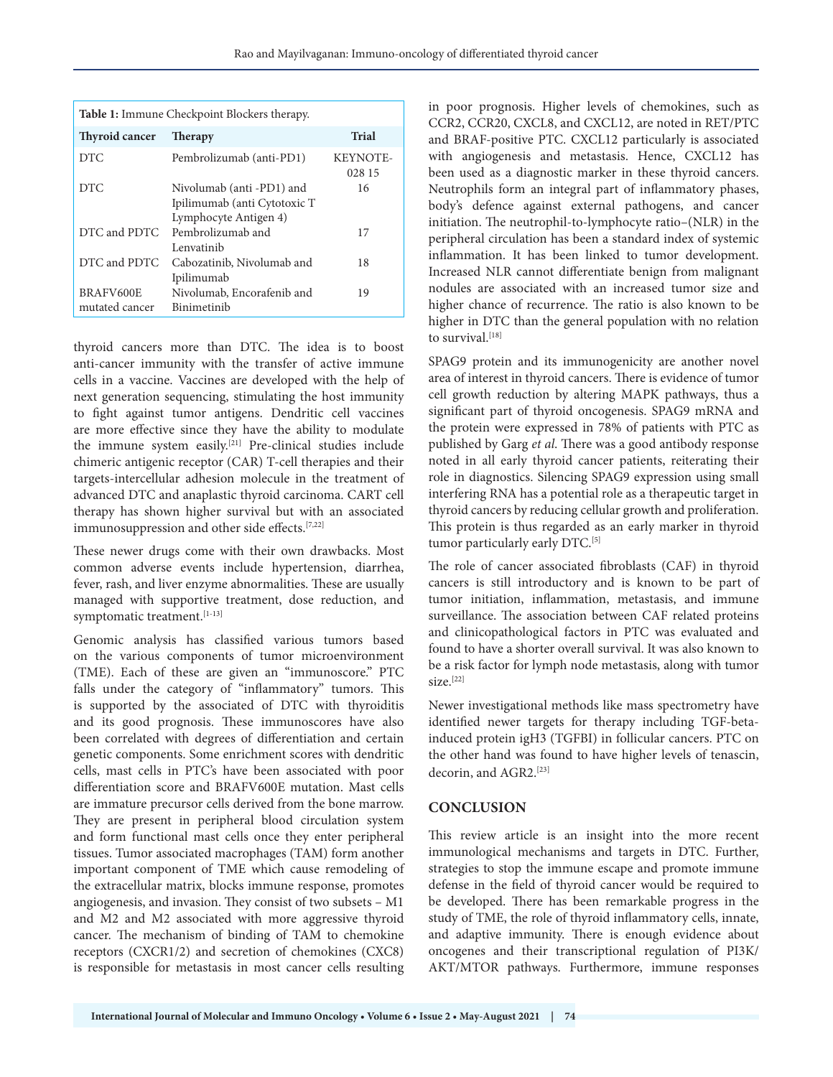| <b>Table 1:</b> Immune Checkpoint Blockers therapy. |                              |                           |
|-----------------------------------------------------|------------------------------|---------------------------|
| <b>Thyroid cancer</b>                               | <b>Therapy</b>               | <b>Trial</b>              |
| <b>DTC</b>                                          | Pembrolizumab (anti-PD1)     | <b>KEYNOTE-</b><br>028 15 |
| <b>DTC</b>                                          | Nivolumab (anti -PD1) and    | 16                        |
|                                                     | Ipilimumab (anti Cytotoxic T |                           |
|                                                     | Lymphocyte Antigen 4)        |                           |
| DTC and PDTC                                        | Pembrolizumab and            | 17                        |
|                                                     | Lenvatinib                   |                           |
| DTC and PDTC                                        | Cabozatinib, Nivolumab and   | 18                        |
|                                                     | Ipilimumab                   |                           |
| BRAFV600E                                           | Nivolumab, Encorafenib and   | 19                        |
| mutated cancer                                      | Binimetinib                  |                           |

thyroid cancers more than DTC. The idea is to boost anti-cancer immunity with the transfer of active immune cells in a vaccine. Vaccines are developed with the help of next generation sequencing, stimulating the host immunity to fight against tumor antigens. Dendritic cell vaccines are more effective since they have the ability to modulate the immune system easily.[21] Pre-clinical studies include chimeric antigenic receptor (CAR) T-cell therapies and their targets-intercellular adhesion molecule in the treatment of advanced DTC and anaplastic thyroid carcinoma. CART cell therapy has shown higher survival but with an associated immunosuppression and other side effects.[7,22]

These newer drugs come with their own drawbacks. Most common adverse events include hypertension, diarrhea, fever, rash, and liver enzyme abnormalities. These are usually managed with supportive treatment, dose reduction, and symptomatic treatment.<sup>[1-13]</sup>

Genomic analysis has classified various tumors based on the various components of tumor microenvironment (TME). Each of these are given an "immunoscore." PTC falls under the category of "inflammatory" tumors. This is supported by the associated of DTC with thyroiditis and its good prognosis. These immunoscores have also been correlated with degrees of differentiation and certain genetic components. Some enrichment scores with dendritic cells, mast cells in PTC's have been associated with poor differentiation score and BRAFV600E mutation. Mast cells are immature precursor cells derived from the bone marrow. They are present in peripheral blood circulation system and form functional mast cells once they enter peripheral tissues. Tumor associated macrophages (TAM) form another important component of TME which cause remodeling of the extracellular matrix, blocks immune response, promotes angiogenesis, and invasion. They consist of two subsets – M1 and M2 and M2 associated with more aggressive thyroid cancer. The mechanism of binding of TAM to chemokine receptors (CXCR1/2) and secretion of chemokines (CXC8) is responsible for metastasis in most cancer cells resulting

in poor prognosis. Higher levels of chemokines, such as CCR2, CCR20, CXCL8, and CXCL12, are noted in RET/PTC and BRAF-positive PTC. CXCL12 particularly is associated with angiogenesis and metastasis. Hence, CXCL12 has been used as a diagnostic marker in these thyroid cancers. Neutrophils form an integral part of inflammatory phases, body's defence against external pathogens, and cancer initiation. The neutrophil-to-lymphocyte ratio–(NLR) in the peripheral circulation has been a standard index of systemic inflammation. It has been linked to tumor development. Increased NLR cannot differentiate benign from malignant nodules are associated with an increased tumor size and higher chance of recurrence. The ratio is also known to be higher in DTC than the general population with no relation to survival.<sup>[18]</sup>

SPAG9 protein and its immunogenicity are another novel area of interest in thyroid cancers. There is evidence of tumor cell growth reduction by altering MAPK pathways, thus a significant part of thyroid oncogenesis. SPAG9 mRNA and the protein were expressed in 78% of patients with PTC as published by Garg *et al*. There was a good antibody response noted in all early thyroid cancer patients, reiterating their role in diagnostics. Silencing SPAG9 expression using small interfering RNA has a potential role as a therapeutic target in thyroid cancers by reducing cellular growth and proliferation. This protein is thus regarded as an early marker in thyroid tumor particularly early DTC.<sup>[5]</sup>

The role of cancer associated fibroblasts (CAF) in thyroid cancers is still introductory and is known to be part of tumor initiation, inflammation, metastasis, and immune surveillance. The association between CAF related proteins and clinicopathological factors in PTC was evaluated and found to have a shorter overall survival. It was also known to be a risk factor for lymph node metastasis, along with tumor size.<sup>[22]</sup>

Newer investigational methods like mass spectrometry have identified newer targets for therapy including TGF-betainduced protein igH3 (TGFBI) in follicular cancers. PTC on the other hand was found to have higher levels of tenascin, decorin, and AGR2.<sup>[23]</sup>

## **CONCLUSION**

This review article is an insight into the more recent immunological mechanisms and targets in DTC. Further, strategies to stop the immune escape and promote immune defense in the field of thyroid cancer would be required to be developed. There has been remarkable progress in the study of TME, the role of thyroid inflammatory cells, innate, and adaptive immunity. There is enough evidence about oncogenes and their transcriptional regulation of PI3K/ AKT/MTOR pathways. Furthermore, immune responses